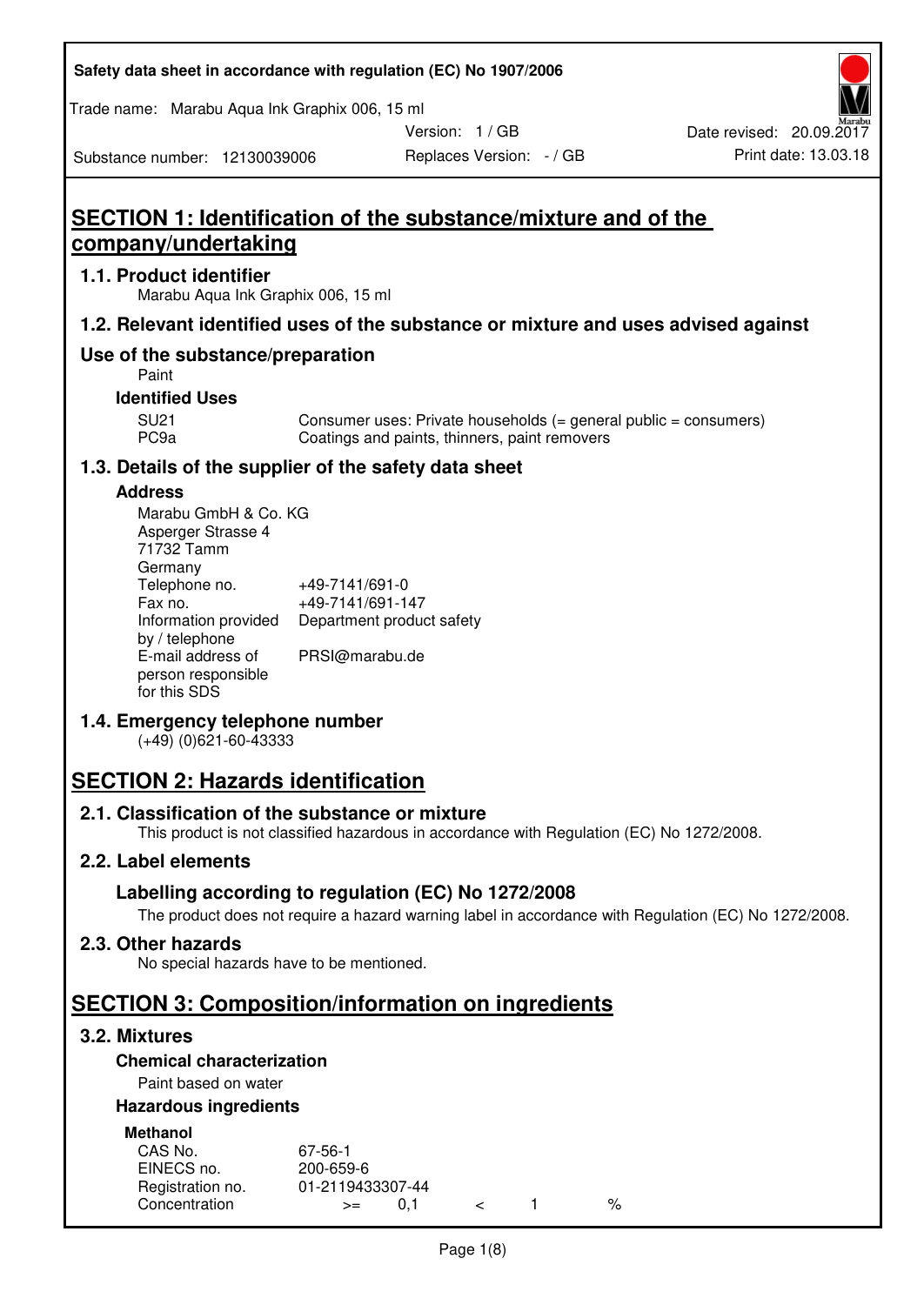| Safety data sheet in accordance with regulation (EC) No 1907/2006 |  |
|-------------------------------------------------------------------|--|
|-------------------------------------------------------------------|--|

Trade name: Marabu Aqua Ink Graphix 006, 15 ml

Version: 1 / GB

Substance number: 12130039006

# **SECTION 1: Identification of the substance/mixture and of the company/undertaking**

## **1.1. Product identifier**

Marabu Aqua Ink Graphix 006, 15 ml

# **1.2. Relevant identified uses of the substance or mixture and uses advised against**

# **Use of the substance/preparation**

Paint

## **Identified Uses**

SU21 Consumer uses: Private households (= general public = consumers)<br>PC9a Coatings and paints, thinners, paint removers Coatings and paints, thinners, paint removers

# **1.3. Details of the supplier of the safety data sheet**

#### **Address**

| Marabu GmbH & Co. KG |                           |
|----------------------|---------------------------|
| Asperger Strasse 4   |                           |
| 71732 Tamm           |                           |
| Germany              |                           |
| Telephone no.        | +49-7141/691-0            |
| Fax no.              | +49-7141/691-147          |
| Information provided | Department product safety |
| by / telephone       |                           |
| E-mail address of    | PRSI@marabu.de            |
| person responsible   |                           |
| for this SDS         |                           |

# **1.4. Emergency telephone number**

(+49) (0)621-60-43333

# **SECTION 2: Hazards identification**

# **2.1. Classification of the substance or mixture**

This product is not classified hazardous in accordance with Regulation (EC) No 1272/2008.

# **2.2. Label elements**

# **Labelling according to regulation (EC) No 1272/2008**

The product does not require a hazard warning label in accordance with Regulation (EC) No 1272/2008.

# **2.3. Other hazards**

No special hazards have to be mentioned.

# **SECTION 3: Composition/information on ingredients**

# **3.2. Mixtures**

# **Chemical characterization**

# Paint based on water

# **Hazardous ingredients**

| <b>Methanol</b>  |                  |  |   |
|------------------|------------------|--|---|
| CAS No.          | 67-56-1          |  |   |
| EINECS no.       | 200-659-6        |  |   |
| Registration no. | 01-2119433307-44 |  |   |
| Concentration    | $>=$             |  | % |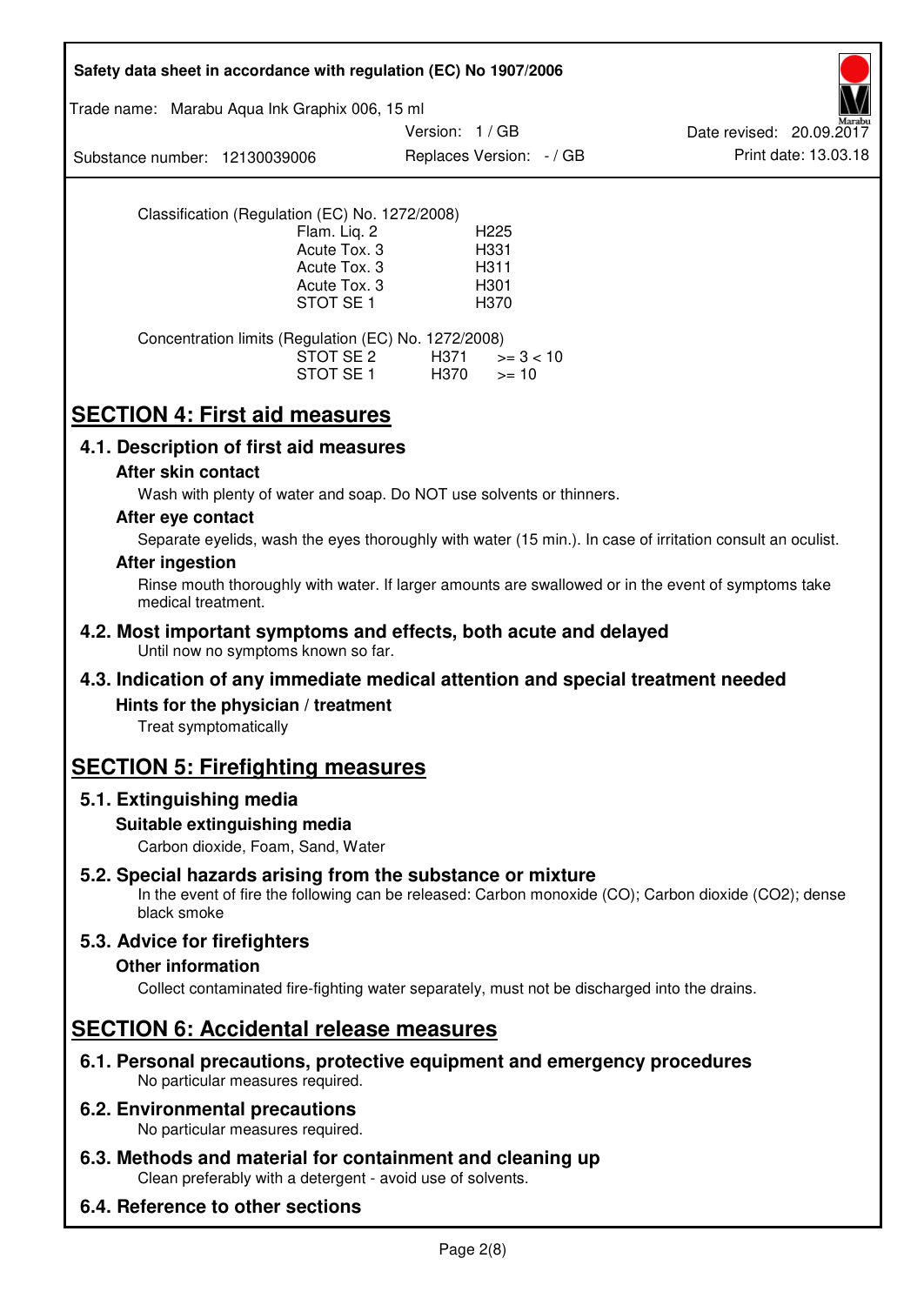| Safety data sheet in accordance with regulation (EC) No 1907/2006                                                                                                                          |
|--------------------------------------------------------------------------------------------------------------------------------------------------------------------------------------------|
| Trade name: Marabu Aqua Ink Graphix 006, 15 ml                                                                                                                                             |
| Version: 1/GB<br>Date revised: 20.09.2017<br>Print date: 13.03.18<br>Replaces Version: - / GB<br>Substance number: 12130039006                                                             |
| Classification (Regulation (EC) No. 1272/2008)<br>Flam. Liq. 2<br>H <sub>225</sub><br>Acute Tox. 3<br>H331<br>Acute Tox. 3<br>H311<br>Acute Tox. 3<br>H301<br>STOT SE <sub>1</sub><br>H370 |
| Concentration limits (Regulation (EC) No. 1272/2008)<br>STOT SE 2<br>H371<br>$>= 3 < 10$<br>STOT SE 1<br>H370<br>$>= 10$                                                                   |
| <b>SECTION 4: First aid measures</b>                                                                                                                                                       |
| 4.1. Description of first aid measures                                                                                                                                                     |
| After skin contact<br>Wash with plenty of water and soap. Do NOT use solvents or thinners.                                                                                                 |
| After eye contact<br>Separate eyelids, wash the eyes thoroughly with water (15 min.). In case of irritation consult an oculist.                                                            |
| <b>After ingestion</b><br>Rinse mouth thoroughly with water. If larger amounts are swallowed or in the event of symptoms take<br>medical treatment.                                        |
| 4.2. Most important symptoms and effects, both acute and delayed<br>Until now no symptoms known so far.                                                                                    |
| 4.3. Indication of any immediate medical attention and special treatment needed                                                                                                            |
| Hints for the physician / treatment<br>Treat symptomatically                                                                                                                               |
| <b>SECTION 5: Firefighting measures</b>                                                                                                                                                    |
| 5.1. Extinguishing media                                                                                                                                                                   |
| Suitable extinguishing media<br>Carbon dioxide, Foam, Sand, Water                                                                                                                          |
| 5.2. Special hazards arising from the substance or mixture<br>In the event of fire the following can be released: Carbon monoxide (CO); Carbon dioxide (CO2); dense<br>black smoke         |
| 5.3. Advice for firefighters<br><b>Other information</b><br>Collect contaminated fire-fighting water separately, must not be discharged into the drains.                                   |
| <b>SECTION 6: Accidental release measures</b>                                                                                                                                              |
| 6.1. Personal precautions, protective equipment and emergency procedures<br>No particular measures required.                                                                               |
| <b>6.2. Environmental precautions</b><br>No particular measures required.                                                                                                                  |
| 6.3. Methods and material for containment and cleaning up<br>Clean preferably with a detergent - avoid use of solvents.                                                                    |
| 6.4. Reference to other sections                                                                                                                                                           |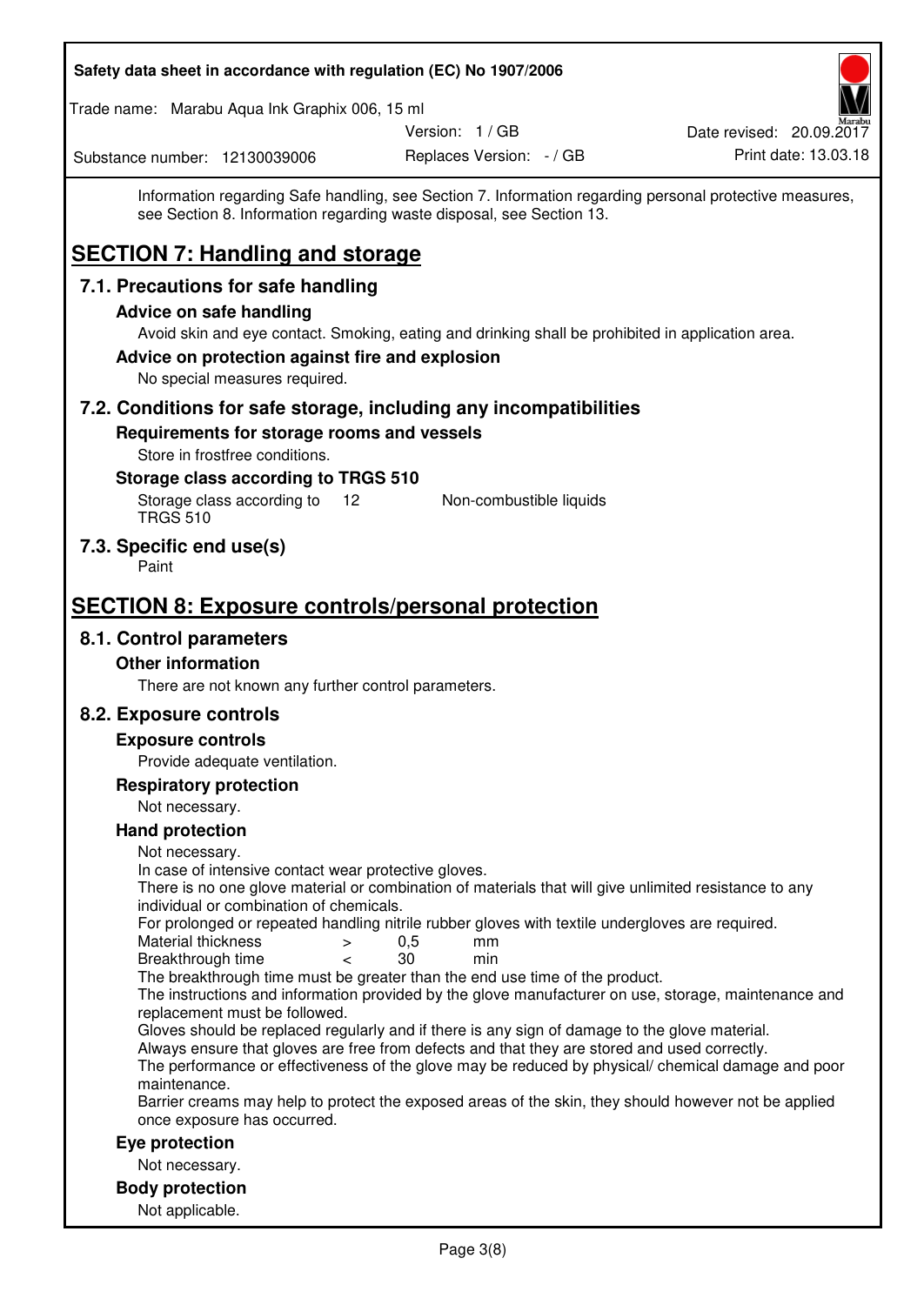| Safety data sheet in accordance with regulation (EC) No 1907/2006                                                                                                                                                  |                                                  |
|--------------------------------------------------------------------------------------------------------------------------------------------------------------------------------------------------------------------|--------------------------------------------------|
| Trade name: Marabu Aqua Ink Graphix 006, 15 ml                                                                                                                                                                     |                                                  |
| Version: 1 / GB<br>Replaces Version: - / GB<br>Substance number: 12130039006                                                                                                                                       | Date revised: 20.09.2017<br>Print date: 13.03.18 |
| Information regarding Safe handling, see Section 7. Information regarding personal protective measures,<br>see Section 8. Information regarding waste disposal, see Section 13.                                    |                                                  |
| <b>SECTION 7: Handling and storage</b>                                                                                                                                                                             |                                                  |
| 7.1. Precautions for safe handling                                                                                                                                                                                 |                                                  |
| <b>Advice on safe handling</b>                                                                                                                                                                                     |                                                  |
| Avoid skin and eye contact. Smoking, eating and drinking shall be prohibited in application area.<br>Advice on protection against fire and explosion<br>No special measures required.                              |                                                  |
| 7.2. Conditions for safe storage, including any incompatibilities                                                                                                                                                  |                                                  |
| Requirements for storage rooms and vessels                                                                                                                                                                         |                                                  |
| Store in frostfree conditions.                                                                                                                                                                                     |                                                  |
| Storage class according to TRGS 510<br>Storage class according to<br>12<br>Non-combustible liquids<br><b>TRGS 510</b>                                                                                              |                                                  |
| 7.3. Specific end use(s)<br>Paint                                                                                                                                                                                  |                                                  |
| <b>SECTION 8: Exposure controls/personal protection</b>                                                                                                                                                            |                                                  |
| 8.1. Control parameters                                                                                                                                                                                            |                                                  |
| <b>Other information</b>                                                                                                                                                                                           |                                                  |
| There are not known any further control parameters.                                                                                                                                                                |                                                  |
| 8.2. Exposure controls                                                                                                                                                                                             |                                                  |
| <b>Exposure controls</b>                                                                                                                                                                                           |                                                  |
| Provide adequate ventilation.<br><b>Respiratory protection</b>                                                                                                                                                     |                                                  |
| Not necessary.                                                                                                                                                                                                     |                                                  |
| <b>Hand protection</b>                                                                                                                                                                                             |                                                  |
| Not necessary.                                                                                                                                                                                                     |                                                  |
| In case of intensive contact wear protective gloves.<br>There is no one glove material or combination of materials that will give unlimited resistance to any                                                      |                                                  |
| individual or combination of chemicals.<br>For prolonged or repeated handling nitrile rubber gloves with textile undergloves are required.                                                                         |                                                  |
| Material thickness<br>0,5<br>mm<br>$\geq$<br>Breakthrough time<br>30<br>min<br>$\overline{\phantom{0}}$                                                                                                            |                                                  |
| The breakthrough time must be greater than the end use time of the product.                                                                                                                                        |                                                  |
| The instructions and information provided by the glove manufacturer on use, storage, maintenance and<br>replacement must be followed.                                                                              |                                                  |
| Gloves should be replaced regularly and if there is any sign of damage to the glove material.                                                                                                                      |                                                  |
| Always ensure that gloves are free from defects and that they are stored and used correctly.<br>The performance or effectiveness of the glove may be reduced by physical/ chemical damage and poor<br>maintenance. |                                                  |
| Barrier creams may help to protect the exposed areas of the skin, they should however not be applied<br>once exposure has occurred.                                                                                |                                                  |
| Eye protection                                                                                                                                                                                                     |                                                  |
| Not necessary.                                                                                                                                                                                                     |                                                  |
| <b>Body protection</b><br>Not applicable.                                                                                                                                                                          |                                                  |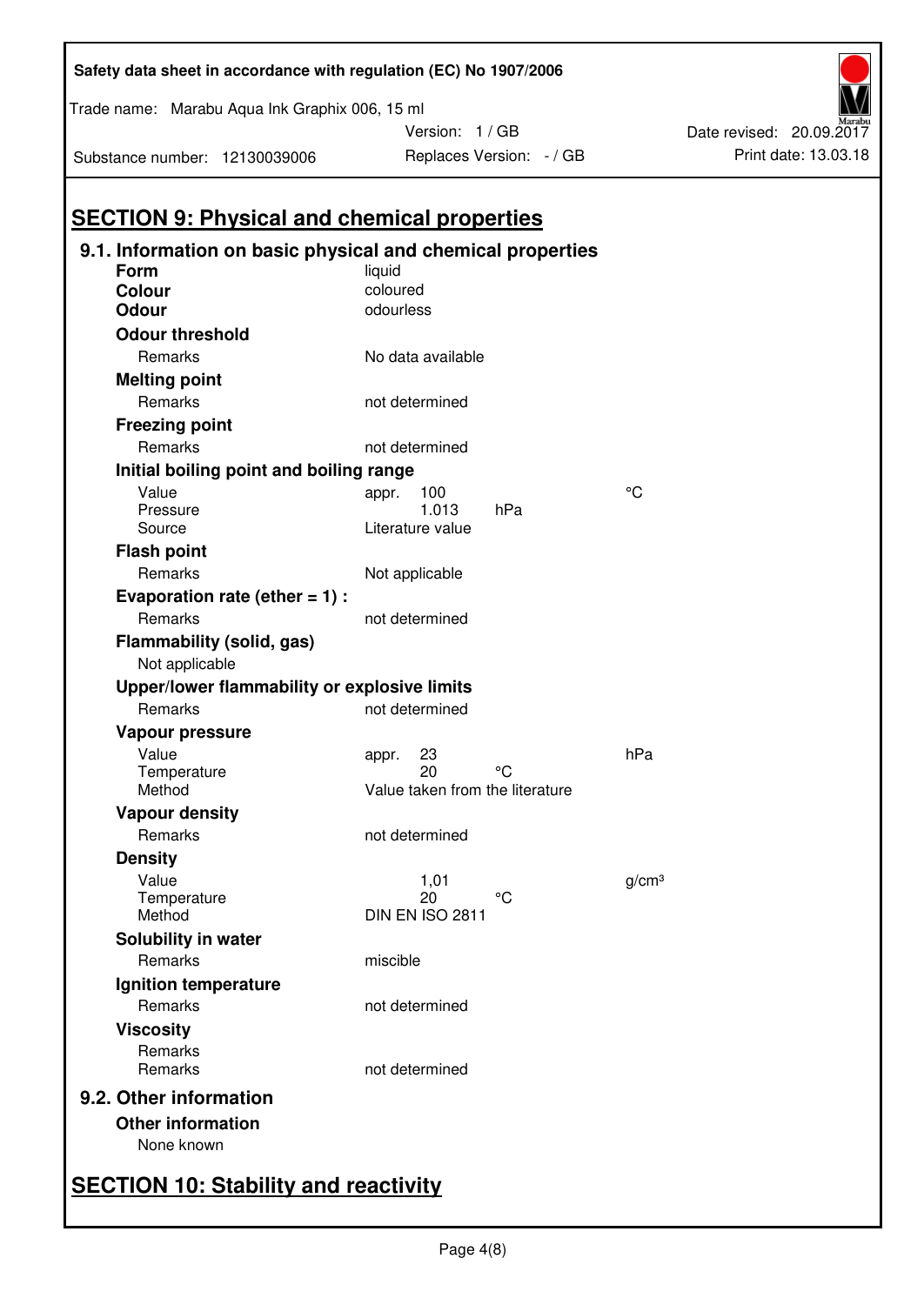|                                                         | 9.1. Information on basic physical and chemical properties |                   |
|---------------------------------------------------------|------------------------------------------------------------|-------------------|
| Form                                                    | liquid                                                     |                   |
| <b>Colour</b><br>Odour                                  | coloured<br>odourless                                      |                   |
|                                                         |                                                            |                   |
| <b>Odour threshold</b>                                  |                                                            |                   |
| Remarks                                                 | No data available                                          |                   |
| <b>Melting point</b>                                    |                                                            |                   |
| Remarks                                                 | not determined                                             |                   |
| <b>Freezing point</b>                                   |                                                            |                   |
| Remarks                                                 | not determined                                             |                   |
| Initial boiling point and boiling range                 |                                                            |                   |
| Value                                                   | 100<br>appr.                                               | °C                |
| Pressure<br>Source                                      | 1.013<br>hPa<br>Literature value                           |                   |
| <b>Flash point</b>                                      |                                                            |                   |
| Remarks                                                 | Not applicable                                             |                   |
|                                                         |                                                            |                   |
| Evaporation rate (ether $= 1$ ) :<br>Remarks            | not determined                                             |                   |
|                                                         |                                                            |                   |
| Flammability (solid, gas)                               |                                                            |                   |
| Not applicable                                          |                                                            |                   |
| Upper/lower flammability or explosive limits<br>Remarks | not determined                                             |                   |
|                                                         |                                                            |                   |
| Vapour pressure                                         |                                                            |                   |
| Value<br>Temperature                                    | 23<br>appr.<br>°۲<br>20                                    | hPa               |
| Method                                                  | Value taken from the literature                            |                   |
| <b>Vapour density</b>                                   |                                                            |                   |
| Remarks                                                 | not determined                                             |                   |
| <b>Density</b>                                          |                                                            |                   |
| Value                                                   | 1,01                                                       | g/cm <sup>3</sup> |
| Temperature                                             | °C<br>20                                                   |                   |
| Method                                                  | DIN EN ISO 2811                                            |                   |
| Solubility in water                                     |                                                            |                   |
| Remarks                                                 | miscible                                                   |                   |
| Ignition temperature                                    |                                                            |                   |
| Remarks                                                 | not determined                                             |                   |
| <b>Viscosity</b>                                        |                                                            |                   |
| Remarks                                                 |                                                            |                   |
| Remarks                                                 | not determined                                             |                   |
| 9.2. Other information                                  |                                                            |                   |
| <b>Other information</b>                                |                                                            |                   |
|                                                         |                                                            |                   |

# **Safety data sheet in accordance with regulation (EC) No 1907/2006**

Trade name: Marabu Aqua Ink Graphix 006, 15 ml

Substance number: 12130039006

Version: 1 / GB



# **SECTION 10: Stability and reactivity**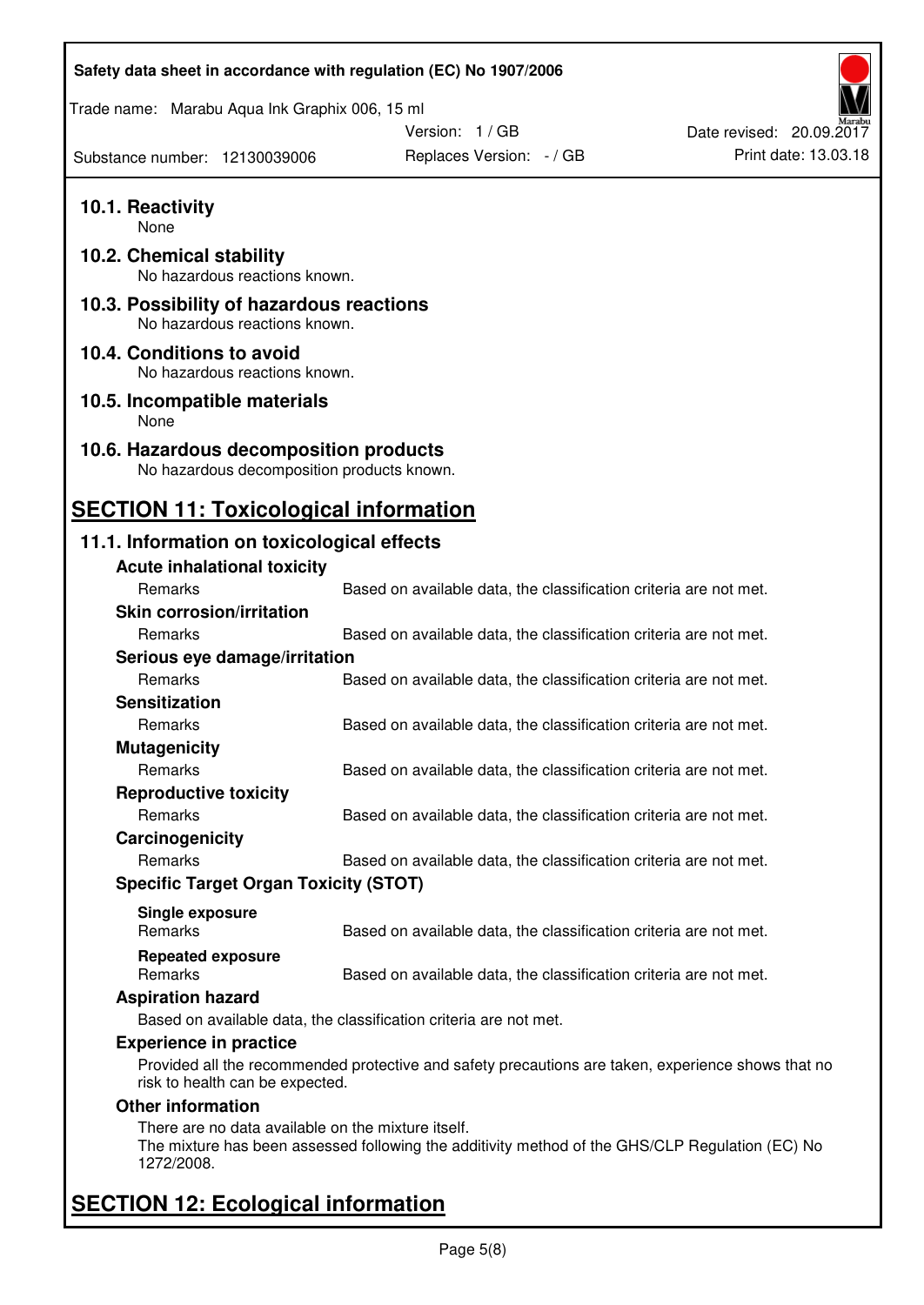| Safety data sheet in accordance with regulation (EC) No 1907/2006                    |                                                                                                    |                          |
|--------------------------------------------------------------------------------------|----------------------------------------------------------------------------------------------------|--------------------------|
| Trade name: Marabu Aqua Ink Graphix 006, 15 ml                                       |                                                                                                    |                          |
|                                                                                      | Version: 1 / GB                                                                                    | Date revised: 20.09.2017 |
| Substance number: 12130039006                                                        | Replaces Version: - / GB                                                                           | Print date: 13.03.18     |
| 10.1. Reactivity<br>None                                                             |                                                                                                    |                          |
| 10.2. Chemical stability<br>No hazardous reactions known.                            |                                                                                                    |                          |
| 10.3. Possibility of hazardous reactions<br>No hazardous reactions known.            |                                                                                                    |                          |
| 10.4. Conditions to avoid<br>No hazardous reactions known.                           |                                                                                                    |                          |
| 10.5. Incompatible materials<br>None                                                 |                                                                                                    |                          |
| 10.6. Hazardous decomposition products<br>No hazardous decomposition products known. |                                                                                                    |                          |
| <b>SECTION 11: Toxicological information</b>                                         |                                                                                                    |                          |
| 11.1. Information on toxicological effects                                           |                                                                                                    |                          |
| <b>Acute inhalational toxicity</b>                                                   |                                                                                                    |                          |
| Remarks                                                                              | Based on available data, the classification criteria are not met.                                  |                          |
| <b>Skin corrosion/irritation</b>                                                     |                                                                                                    |                          |
| <b>Remarks</b>                                                                       | Based on available data, the classification criteria are not met.                                  |                          |
| Serious eye damage/irritation                                                        |                                                                                                    |                          |
| Remarks                                                                              | Based on available data, the classification criteria are not met.                                  |                          |
| <b>Sensitization</b>                                                                 |                                                                                                    |                          |
| Remarks                                                                              | Based on available data, the classification criteria are not met.                                  |                          |
| <b>Mutagenicity</b>                                                                  |                                                                                                    |                          |
| Remarks                                                                              | Based on available data, the classification criteria are not met.                                  |                          |
| <b>Reproductive toxicity</b>                                                         |                                                                                                    |                          |
| Remarks                                                                              | Based on available data, the classification criteria are not met.                                  |                          |
| Carcinogenicity                                                                      |                                                                                                    |                          |
| Remarks                                                                              | Based on available data, the classification criteria are not met.                                  |                          |
| <b>Specific Target Organ Toxicity (STOT)</b>                                         |                                                                                                    |                          |
| Single exposure                                                                      |                                                                                                    |                          |
| <b>Remarks</b>                                                                       | Based on available data, the classification criteria are not met.                                  |                          |
| <b>Repeated exposure</b><br>Remarks                                                  | Based on available data, the classification criteria are not met.                                  |                          |
| <b>Aspiration hazard</b>                                                             |                                                                                                    |                          |
|                                                                                      | Based on available data, the classification criteria are not met.                                  |                          |
| <b>Experience in practice</b>                                                        |                                                                                                    |                          |
| risk to health can be expected.                                                      | Provided all the recommended protective and safety precautions are taken, experience shows that no |                          |
| <b>Other information</b>                                                             |                                                                                                    |                          |
| There are no data available on the mixture itself.<br>1272/2008.                     | The mixture has been assessed following the additivity method of the GHS/CLP Regulation (EC) No    |                          |
| <b>SECTION 12: Ecological information</b>                                            |                                                                                                    |                          |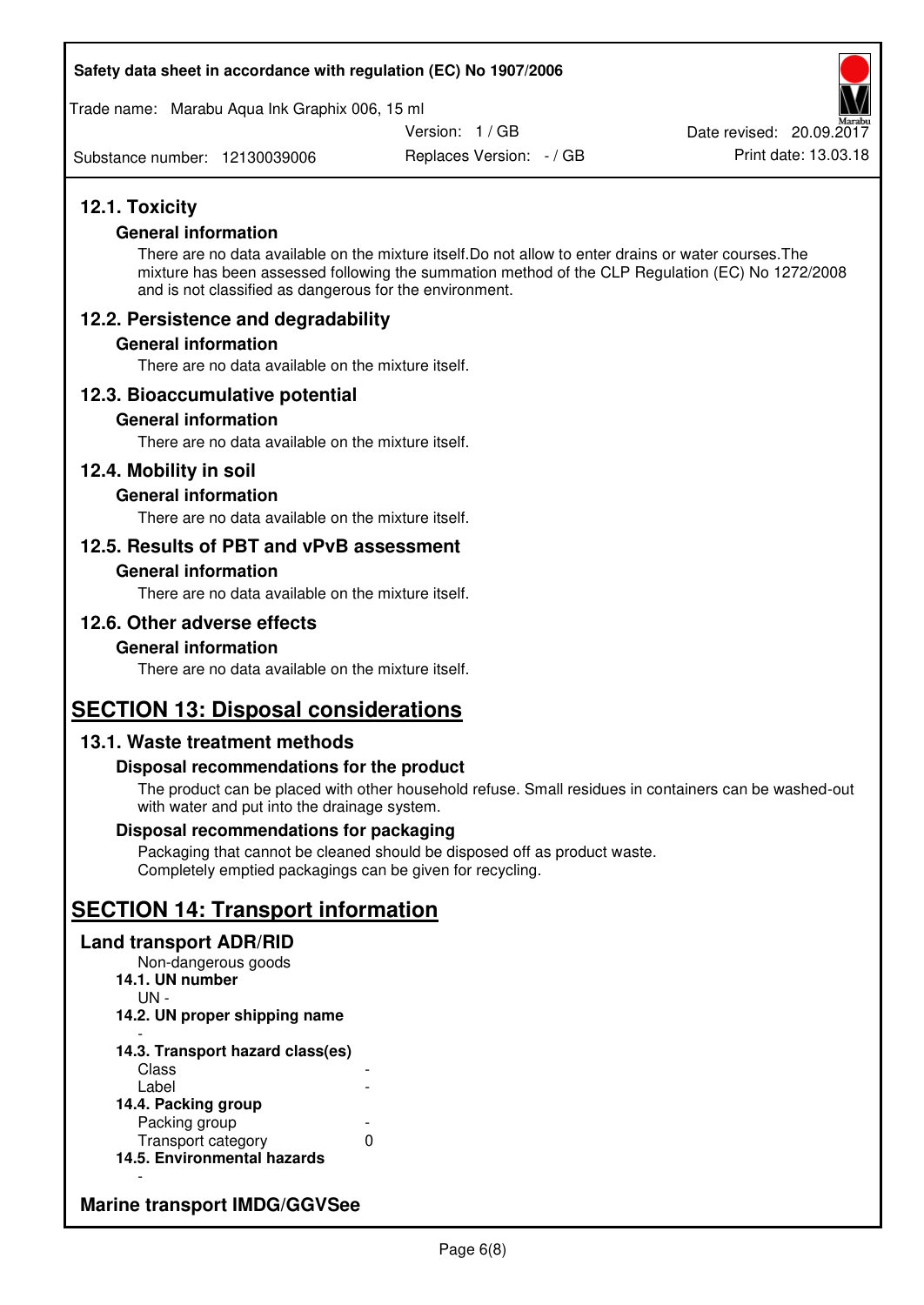#### **Safety data sheet in accordance with regulation (EC) No 1907/2006**

Trade name: Marabu Aqua Ink Graphix 006, 15 ml

Version: 1 / GB

Substance number: 12130039006

Replaces Version: - / GB Print date: 13.03.18 Date revised: 20.09.2017

# **12.1. Toxicity**

#### **General information**

There are no data available on the mixture itself.Do not allow to enter drains or water courses.The mixture has been assessed following the summation method of the CLP Regulation (EC) No 1272/2008 and is not classified as dangerous for the environment.

# **12.2. Persistence and degradability**

#### **General information**

There are no data available on the mixture itself.

# **12.3. Bioaccumulative potential**

#### **General information**

There are no data available on the mixture itself.

#### **12.4. Mobility in soil**

#### **General information**

There are no data available on the mixture itself.

# **12.5. Results of PBT and vPvB assessment**

#### **General information**

There are no data available on the mixture itself.

# **12.6. Other adverse effects**

#### **General information**

There are no data available on the mixture itself.

# **SECTION 13: Disposal considerations**

# **13.1. Waste treatment methods**

#### **Disposal recommendations for the product**

The product can be placed with other household refuse. Small residues in containers can be washed-out with water and put into the drainage system.

#### **Disposal recommendations for packaging**

Packaging that cannot be cleaned should be disposed off as product waste. Completely emptied packagings can be given for recycling.

# **SECTION 14: Transport information**

#### **Land transport ADR/RID**

Non-dangerous goods **14.1. UN number**  UN - **14.2. UN proper shipping name**  -

#### **14.3. Transport hazard class(es) Class** Label

| 14.4. Packing group         |   |
|-----------------------------|---|
| Packing group               |   |
| Transport category          | O |
| 14.5. Environmental hazards |   |

# **Marine transport IMDG/GGVSee**

-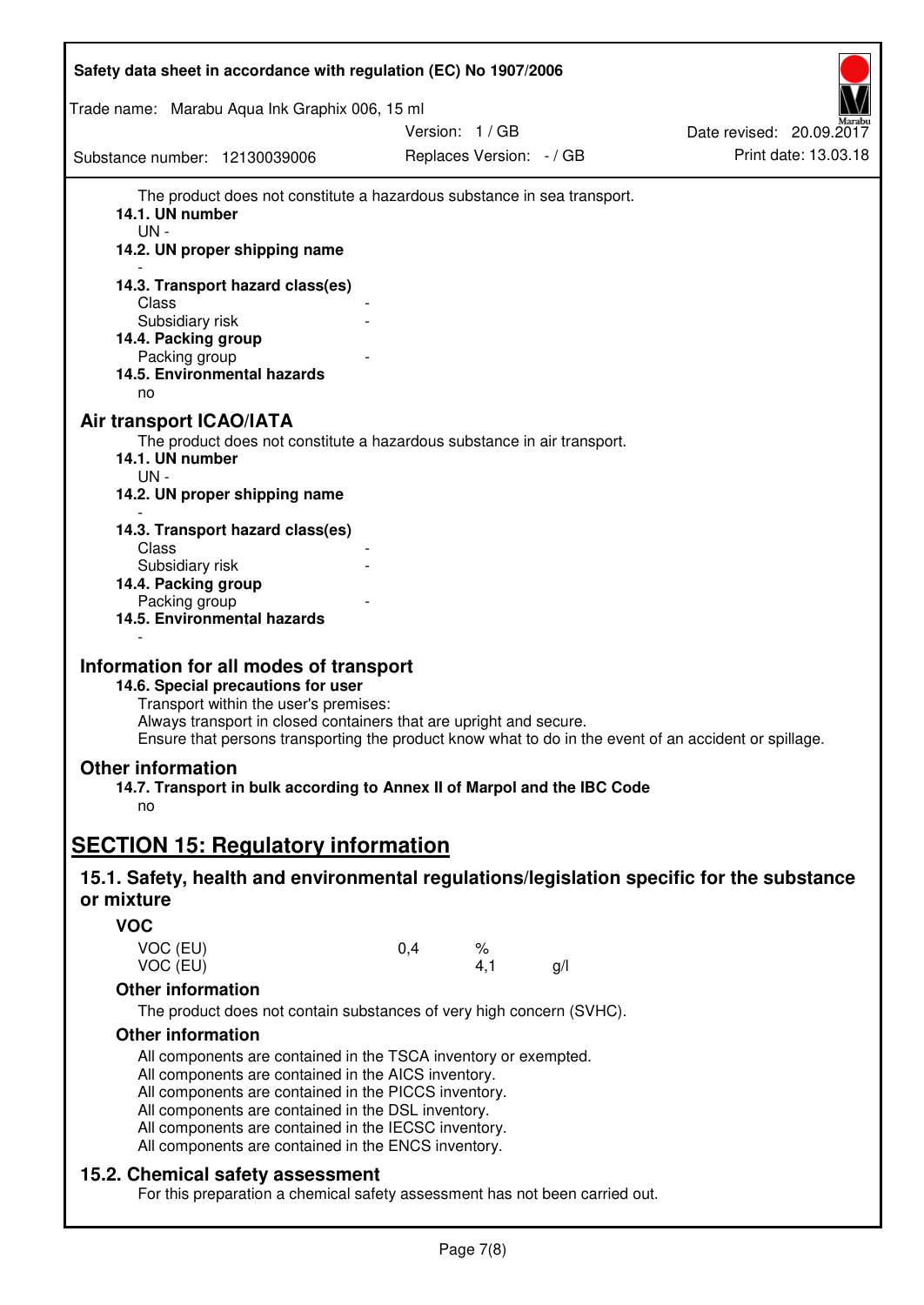| Safety data sheet in accordance with regulation (EC) No 1907/2006                                                                                                                                                                                                                                                                                   |     |                          |     |                          |
|-----------------------------------------------------------------------------------------------------------------------------------------------------------------------------------------------------------------------------------------------------------------------------------------------------------------------------------------------------|-----|--------------------------|-----|--------------------------|
| Trade name: Marabu Aqua Ink Graphix 006, 15 ml                                                                                                                                                                                                                                                                                                      |     |                          |     |                          |
|                                                                                                                                                                                                                                                                                                                                                     |     | Version: 1/GB            |     | Date revised: 20.09.2017 |
| Substance number: 12130039006                                                                                                                                                                                                                                                                                                                       |     | Replaces Version: - / GB |     | Print date: 13.03.18     |
| The product does not constitute a hazardous substance in sea transport.<br>14.1. UN number<br>UN-<br>14.2. UN proper shipping name                                                                                                                                                                                                                  |     |                          |     |                          |
| 14.3. Transport hazard class(es)                                                                                                                                                                                                                                                                                                                    |     |                          |     |                          |
| Class                                                                                                                                                                                                                                                                                                                                               |     |                          |     |                          |
| Subsidiary risk<br>14.4. Packing group                                                                                                                                                                                                                                                                                                              |     |                          |     |                          |
| Packing group                                                                                                                                                                                                                                                                                                                                       |     |                          |     |                          |
| 14.5. Environmental hazards                                                                                                                                                                                                                                                                                                                         |     |                          |     |                          |
| no                                                                                                                                                                                                                                                                                                                                                  |     |                          |     |                          |
| Air transport ICAO/IATA<br>The product does not constitute a hazardous substance in air transport.<br>14.1. UN number<br>UN-<br>14.2. UN proper shipping name                                                                                                                                                                                       |     |                          |     |                          |
| 14.3. Transport hazard class(es)                                                                                                                                                                                                                                                                                                                    |     |                          |     |                          |
| Class                                                                                                                                                                                                                                                                                                                                               |     |                          |     |                          |
| Subsidiary risk<br>14.4. Packing group                                                                                                                                                                                                                                                                                                              |     |                          |     |                          |
| Packing group                                                                                                                                                                                                                                                                                                                                       |     |                          |     |                          |
| 14.5. Environmental hazards                                                                                                                                                                                                                                                                                                                         |     |                          |     |                          |
| Information for all modes of transport<br>14.6. Special precautions for user<br>Transport within the user's premises:<br>Always transport in closed containers that are upright and secure.<br>Ensure that persons transporting the product know what to do in the event of an accident or spillage.                                                |     |                          |     |                          |
| <b>Other information</b>                                                                                                                                                                                                                                                                                                                            |     |                          |     |                          |
| 14.7. Transport in bulk according to Annex II of Marpol and the IBC Code                                                                                                                                                                                                                                                                            |     |                          |     |                          |
| no                                                                                                                                                                                                                                                                                                                                                  |     |                          |     |                          |
|                                                                                                                                                                                                                                                                                                                                                     |     |                          |     |                          |
| <b>SECTION 15: Regulatory information</b>                                                                                                                                                                                                                                                                                                           |     |                          |     |                          |
| 15.1. Safety, health and environmental regulations/legislation specific for the substance<br>or mixture                                                                                                                                                                                                                                             |     |                          |     |                          |
| <b>VOC</b>                                                                                                                                                                                                                                                                                                                                          |     |                          |     |                          |
| VOC (EU)<br>VOC (EU)                                                                                                                                                                                                                                                                                                                                | 0,4 | %<br>4,1                 | g/l |                          |
| <b>Other information</b>                                                                                                                                                                                                                                                                                                                            |     |                          |     |                          |
| The product does not contain substances of very high concern (SVHC).                                                                                                                                                                                                                                                                                |     |                          |     |                          |
| <b>Other information</b>                                                                                                                                                                                                                                                                                                                            |     |                          |     |                          |
| All components are contained in the TSCA inventory or exempted.<br>All components are contained in the AICS inventory.<br>All components are contained in the PICCS inventory.<br>All components are contained in the DSL inventory.<br>All components are contained in the IECSC inventory.<br>All components are contained in the ENCS inventory. |     |                          |     |                          |
| 15.2. Chemical safety assessment<br>For this preparation a chemical safety assessment has not been carried out.                                                                                                                                                                                                                                     |     |                          |     |                          |